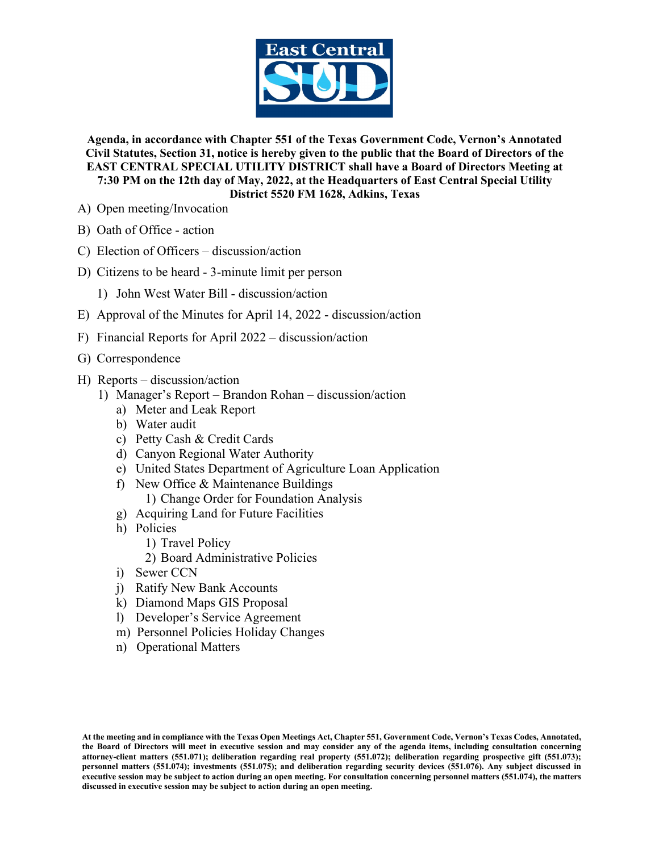

**Agenda, in accordance with Chapter 551 of the Texas Government Code, Vernon's Annotated Civil Statutes, Section 31, notice is hereby given to the public that the Board of Directors of the EAST CENTRAL SPECIAL UTILITY DISTRICT shall have a Board of Directors Meeting at 7:30 PM on the 12th day of May, 2022, at the Headquarters of East Central Special Utility District 5520 FM 1628, Adkins, Texas**

- A) Open meeting/Invocation
- B) Oath of Office action
- C) Election of Officers discussion/action
- D) Citizens to be heard 3-minute limit per person
	- 1) John West Water Bill discussion/action
- E) Approval of the Minutes for April 14, 2022 discussion/action
- F) Financial Reports for April 2022 discussion/action
- G) Correspondence
- H) Reports discussion/action
	- 1) Manager's Report Brandon Rohan discussion/action
		- a) Meter and Leak Report
		- b) Water audit
		- c) Petty Cash & Credit Cards
		- d) Canyon Regional Water Authority
		- e) United States Department of Agriculture Loan Application
		- f) New Office & Maintenance Buildings 1) Change Order for Foundation Analysis
		- g) Acquiring Land for Future Facilities
		- h) Policies
			- 1) Travel Policy
			- 2) Board Administrative Policies
		- i) Sewer CCN
		- j) Ratify New Bank Accounts
		- k) Diamond Maps GIS Proposal
		- l) Developer's Service Agreement
		- m) Personnel Policies Holiday Changes
		- n) Operational Matters

**At the meeting and in compliance with the Texas Open Meetings Act, Chapter 551, Government Code, Vernon's Texas Codes, Annotated, the Board of Directors will meet in executive session and may consider any of the agenda items, including consultation concerning attorney-client matters (551.071); deliberation regarding real property (551.072); deliberation regarding prospective gift (551.073); personnel matters (551.074); investments (551.075); and deliberation regarding security devices (551.076). Any subject discussed in executive session may be subject to action during an open meeting. For consultation concerning personnel matters (551.074), the matters discussed in executive session may be subject to action during an open meeting.**